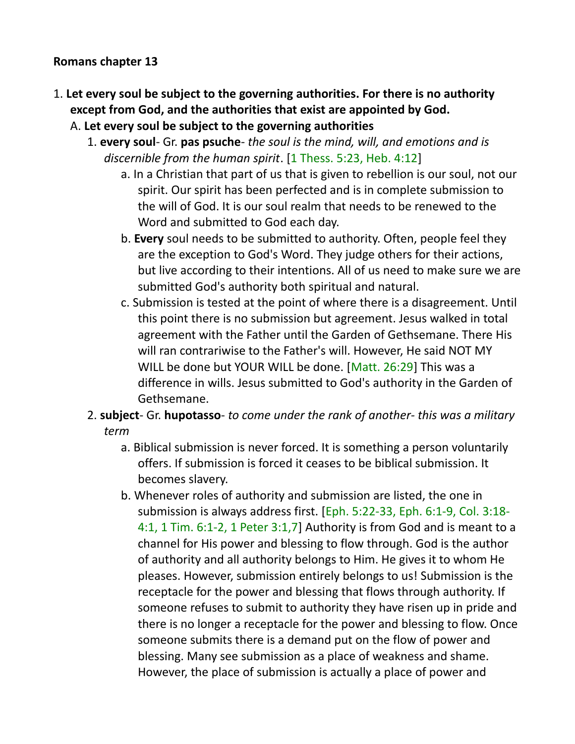#### **Romans chapter 13**

- 1. **Let every soul be subject to the governing authorities. For there is no authority except from God, and the authorities that exist are appointed by God.** 
	- A. **Let every soul be subject to the governing authorities**
		- 1. **every soul** Gr. **pas psuche** *the soul is the mind, will, and emotions and is discernible from the human spirit*. [1 Thess. 5:23, Heb. 4:12]
			- a. In a Christian that part of us that is given to rebellion is our soul, not our spirit. Our spirit has been perfected and is in complete submission to the will of God. It is our soul realm that needs to be renewed to the Word and submitted to God each day.
			- b. **Every** soul needs to be submitted to authority. Often, people feel they are the exception to God's Word. They judge others for their actions, but live according to their intentions. All of us need to make sure we are submitted God's authority both spiritual and natural.
			- c. Submission is tested at the point of where there is a disagreement. Until this point there is no submission but agreement. Jesus walked in total agreement with the Father until the Garden of Gethsemane. There His will ran contrariwise to the Father's will. However, He said NOT MY WILL be done but YOUR WILL be done. [Matt. 26:29] This was a difference in wills. Jesus submitted to God's authority in the Garden of Gethsemane.
		- 2. **subject** Gr. **hupotasso** *to come under the rank of another- this was a military term*
			- a. Biblical submission is never forced. It is something a person voluntarily offers. If submission is forced it ceases to be biblical submission. It becomes slavery.
			- b. Whenever roles of authority and submission are listed, the one in submission is always address first. [Eph. 5:22-33, Eph. 6:1-9, Col. 3:18- 4:1, 1 Tim. 6:1-2, 1 Peter 3:1,7] Authority is from God and is meant to a channel for His power and blessing to flow through. God is the author of authority and all authority belongs to Him. He gives it to whom He pleases. However, submission entirely belongs to us! Submission is the receptacle for the power and blessing that flows through authority. If someone refuses to submit to authority they have risen up in pride and there is no longer a receptacle for the power and blessing to flow. Once someone submits there is a demand put on the flow of power and blessing. Many see submission as a place of weakness and shame. However, the place of submission is actually a place of power and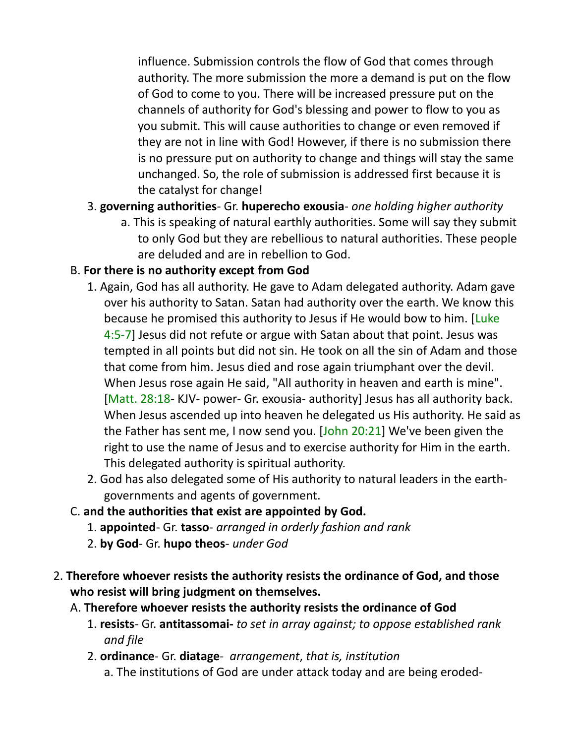influence. Submission controls the flow of God that comes through authority. The more submission the more a demand is put on the flow of God to come to you. There will be increased pressure put on the channels of authority for God's blessing and power to flow to you as you submit. This will cause authorities to change or even removed if they are not in line with God! However, if there is no submission there is no pressure put on authority to change and things will stay the same unchanged. So, the role of submission is addressed first because it is the catalyst for change!

- 3. **governing authorities** Gr. **huperecho exousia** *one holding higher authority*
	- a. This is speaking of natural earthly authorities. Some will say they submit to only God but they are rebellious to natural authorities. These people are deluded and are in rebellion to God.

## B. **For there is no authority except from God**

- 1. Again, God has all authority. He gave to Adam delegated authority. Adam gave over his authority to Satan. Satan had authority over the earth. We know this because he promised this authority to Jesus if He would bow to him. [Luke] 4:5-7] Jesus did not refute or argue with Satan about that point. Jesus was tempted in all points but did not sin. He took on all the sin of Adam and those that come from him. Jesus died and rose again triumphant over the devil. When Jesus rose again He said, "All authority in heaven and earth is mine". [Matt. 28:18- KJV- power- Gr. exousia- authority] Jesus has all authority back. When Jesus ascended up into heaven he delegated us His authority. He said as the Father has sent me, I now send you. [John 20:21] We've been given the right to use the name of Jesus and to exercise authority for Him in the earth. This delegated authority is spiritual authority.
- 2. God has also delegated some of His authority to natural leaders in the earthgovernments and agents of government.
- C. **and the authorities that exist are appointed by God.**
	- 1. **appointed** Gr. **tasso** *arranged in orderly fashion and rank*
	- 2. **by God** Gr. **hupo theos** *under God*
- 2. **Therefore whoever resists the authority resists the ordinance of God, and those who resist will bring judgment on themselves.**
	- A. **Therefore whoever resists the authority resists the ordinance of God**
		- 1. **resists** Gr. **antitassomai-** *to set in array against; to oppose established rank and file*
		- 2. **ordinance** Gr. **diatage** *arrangement*, *that is, institution* a. The institutions of God are under attack today and are being eroded-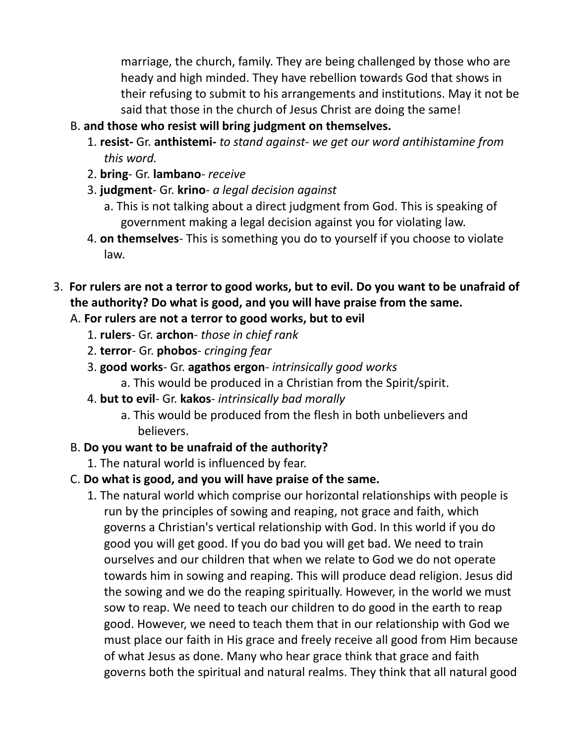marriage, the church, family. They are being challenged by those who are heady and high minded. They have rebellion towards God that shows in their refusing to submit to his arrangements and institutions. May it not be said that those in the church of Jesus Christ are doing the same!

## B. **and those who resist will bring judgment on themselves.**

- 1. **resist-** Gr. **anthistemi-** *to stand against- we get our word antihistamine from this word.*
- 2. **bring** Gr. **lambano** *receive*
- 3. **judgment** Gr. **krino** *a legal decision against*
	- a. This is not talking about a direct judgment from God. This is speaking of government making a legal decision against you for violating law.
- 4. **on themselves** This is something you do to yourself if you choose to violate law.
- 3. **For rulers are not a terror to good works, but to evil. Do you want to be unafraid of the authority? Do what is good, and you will have praise from the same.**

# A. **For rulers are not a terror to good works, but to evil**

- 1. **rulers** Gr. **archon** *those in chief rank*
- 2. **terror** Gr. **phobos** *cringing fear*
- 3. **good works** Gr. **agathos ergon** *intrinsically good works*
	- a. This would be produced in a Christian from the Spirit/spirit.
- 4. **but to evil** Gr. **kakos** *intrinsically bad morally*
	- a. This would be produced from the flesh in both unbelievers and believers.

# B. **Do you want to be unafraid of the authority?**

1. The natural world is influenced by fear.

# C. **Do what is good, and you will have praise of the same.**

1. The natural world which comprise our horizontal relationships with people is run by the principles of sowing and reaping, not grace and faith, which governs a Christian's vertical relationship with God. In this world if you do good you will get good. If you do bad you will get bad. We need to train ourselves and our children that when we relate to God we do not operate towards him in sowing and reaping. This will produce dead religion. Jesus did the sowing and we do the reaping spiritually. However, in the world we must sow to reap. We need to teach our children to do good in the earth to reap good. However, we need to teach them that in our relationship with God we must place our faith in His grace and freely receive all good from Him because of what Jesus as done. Many who hear grace think that grace and faith governs both the spiritual and natural realms. They think that all natural good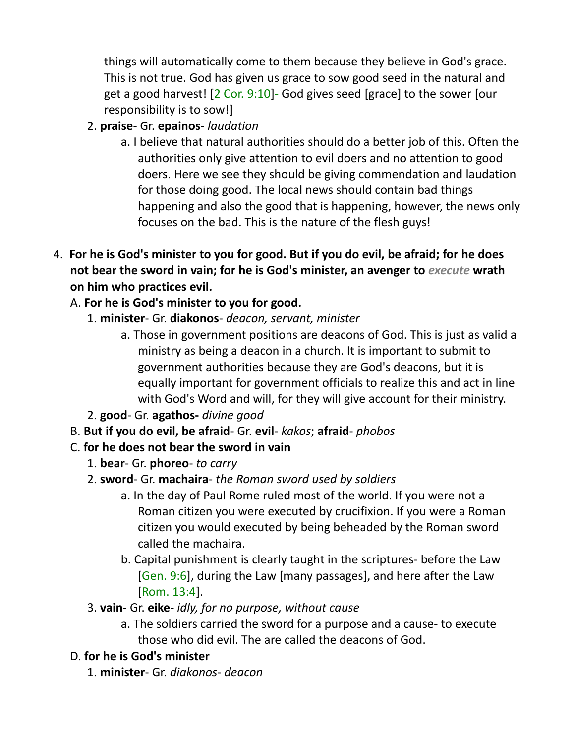things will automatically come to them because they believe in God's grace. This is not true. God has given us grace to sow good seed in the natural and get a good harvest! [2 Cor. 9:10]- God gives seed [grace] to the sower [our responsibility is to sow!]

- 2. **praise** Gr. **epainos** *laudation*
	- a. I believe that natural authorities should do a better job of this. Often the authorities only give attention to evil doers and no attention to good doers. Here we see they should be giving commendation and laudation for those doing good. The local news should contain bad things happening and also the good that is happening, however, the news only focuses on the bad. This is the nature of the flesh guys!
- 4. **For he is God's minister to you for good. But if you do evil, be afraid; for he does not bear the sword in vain; for he is God's minister, an avenger to** *execute* **wrath on him who practices evil.** 
	- A. **For he is God's minister to you for good.**
		- 1. **minister** Gr. **diakonos** *deacon, servant, minister*
			- a. Those in government positions are deacons of God. This is just as valid a ministry as being a deacon in a church. It is important to submit to government authorities because they are God's deacons, but it is equally important for government officials to realize this and act in line with God's Word and will, for they will give account for their ministry.
		- 2. **good** Gr. **agathos-** *divine good*
	- B. **But if you do evil, be afraid** Gr. **evil** *kakos*; **afraid** *phobos*
	- C. **for he does not bear the sword in vain**
		- 1. **bear** Gr. **phoreo**- *to carry*
		- 2. **sword** Gr. **machaira** *the Roman sword used by soldiers*
			- a. In the day of Paul Rome ruled most of the world. If you were not a Roman citizen you were executed by crucifixion. If you were a Roman citizen you would executed by being beheaded by the Roman sword called the machaira.
			- b. Capital punishment is clearly taught in the scriptures- before the Law [Gen. 9:6], during the Law [many passages], and here after the Law [Rom. 13:4].
		- 3. **vain** Gr. **eike** *idly, for no purpose, without cause*
			- a. The soldiers carried the sword for a purpose and a cause- to execute those who did evil. The are called the deacons of God.

# D. **for he is God's minister**

1. **minister**- Gr. *diakonos- deacon*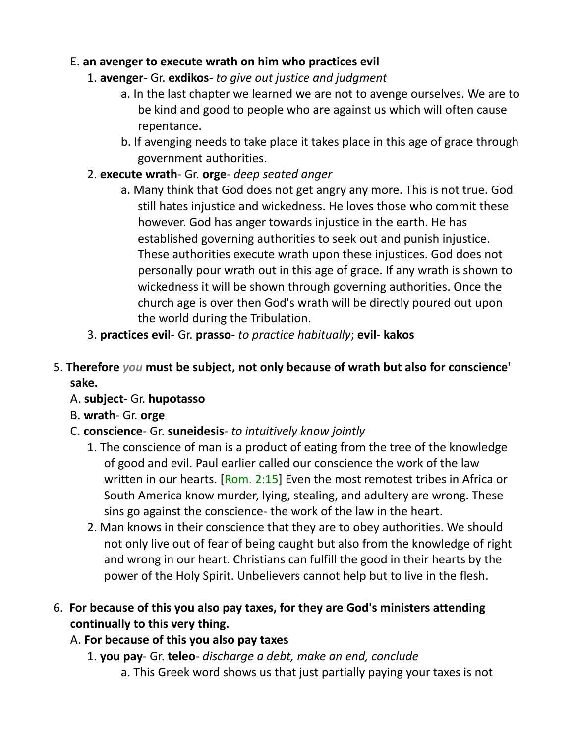## E. **an avenger to execute wrath on him who practices evil**

- 1. **avenger** Gr. **exdikos** *to give out justice and judgment*
	- a. In the last chapter we learned we are not to avenge ourselves. We are to be kind and good to people who are against us which will often cause repentance.
	- b. If avenging needs to take place it takes place in this age of grace through government authorities.
- 2. **execute wrath** Gr. **orge** *deep seated anger*
	- a. Many think that God does not get angry any more. This is not true. God still hates injustice and wickedness. He loves those who commit these however. God has anger towards injustice in the earth. He has established governing authorities to seek out and punish injustice. These authorities execute wrath upon these injustices. God does not personally pour wrath out in this age of grace. If any wrath is shown to wickedness it will be shown through governing authorities. Once the church age is over then God's wrath will be directly poured out upon the world during the Tribulation.
- 3. **practices evil** Gr. **prasso** *to practice habitually*; **evil- kakos**
- 5. **Therefore** *you* **must be subject, not only because of wrath but also for conscience' sake.**
	- A. **subject** Gr. **hupotasso**
	- B. **wrath** Gr. **orge**
	- C. **conscience** Gr. **suneidesis** *to intuitively know jointly*
		- 1. The conscience of man is a product of eating from the tree of the knowledge of good and evil. Paul earlier called our conscience the work of the law written in our hearts. [Rom. 2:15] Even the most remotest tribes in Africa or South America know murder, lying, stealing, and adultery are wrong. These sins go against the conscience- the work of the law in the heart.
		- 2. Man knows in their conscience that they are to obey authorities. We should not only live out of fear of being caught but also from the knowledge of right and wrong in our heart. Christians can fulfill the good in their hearts by the power of the Holy Spirit. Unbelievers cannot help but to live in the flesh.
- 6. **For because of this you also pay taxes, for they are God's ministers attending continually to this very thing.**

## A. **For because of this you also pay taxes**

- 1. **you pay** Gr. **teleo** *discharge a debt, make an end, conclude*
	- a. This Greek word shows us that just partially paying your taxes is not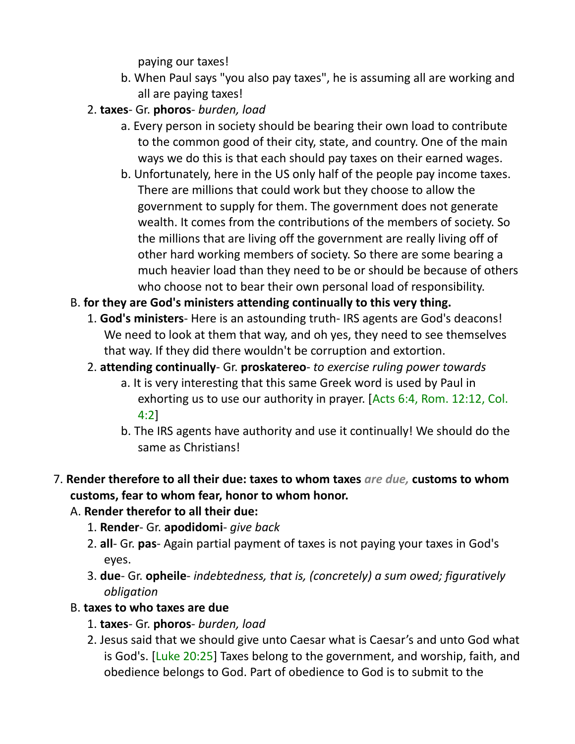paying our taxes!

- b. When Paul says "you also pay taxes", he is assuming all are working and all are paying taxes!
- 2. **taxes** Gr. **phoros** *burden, load*
	- a. Every person in society should be bearing their own load to contribute to the common good of their city, state, and country. One of the main ways we do this is that each should pay taxes on their earned wages.
	- b. Unfortunately, here in the US only half of the people pay income taxes. There are millions that could work but they choose to allow the government to supply for them. The government does not generate wealth. It comes from the contributions of the members of society. So the millions that are living off the government are really living off of other hard working members of society. So there are some bearing a much heavier load than they need to be or should be because of others who choose not to bear their own personal load of responsibility.
- B. **for they are God's ministers attending continually to this very thing.**
	- 1. **God's ministers** Here is an astounding truth- IRS agents are God's deacons! We need to look at them that way, and oh yes, they need to see themselves that way. If they did there wouldn't be corruption and extortion.
	- 2. **attending continually** Gr. **proskatereo** *to exercise ruling power towards*
		- a. It is very interesting that this same Greek word is used by Paul in exhorting us to use our authority in prayer. [Acts 6:4, Rom. 12:12, Col. 4:2]
		- b. The IRS agents have authority and use it continually! We should do the same as Christians!
- 7. **Render therefore to all their due: taxes to whom taxes** *are due,* **customs to whom customs, fear to whom fear, honor to whom honor.**
	- A. **Render therefor to all their due:**
		- 1. **Render** Gr. **apodidomi** *give back*
		- 2. **all** Gr. **pas** Again partial payment of taxes is not paying your taxes in God's eyes.
		- 3. **due** Gr. **opheile** *indebtedness, that is, (concretely) a sum owed; figuratively obligation*
	- B. **taxes to who taxes are due**
		- 1. **taxes** Gr. **phoros** *burden, load*
		- 2. Jesus said that we should give unto Caesar what is Caesar's and unto God what is God's. [Luke 20:25] Taxes belong to the government, and worship, faith, and obedience belongs to God. Part of obedience to God is to submit to the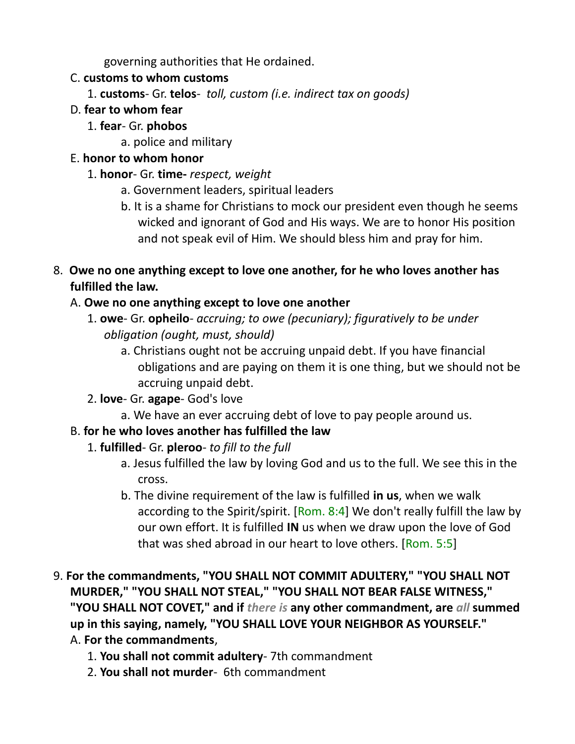governing authorities that He ordained.

## C. **customs to whom customs**

- 1. **customs** Gr. **telos** *toll, custom (i.e. indirect tax on goods)*
- D. **fear to whom fear**
	- 1. **fear** Gr. **phobos**
		- a. police and military

## E. **honor to whom honor**

- 1. **honor** Gr. **time-** *respect, weight*
	- a. Government leaders, spiritual leaders
	- b. It is a shame for Christians to mock our president even though he seems wicked and ignorant of God and His ways. We are to honor His position and not speak evil of Him. We should bless him and pray for him.
- 8. **Owe no one anything except to love one another, for he who loves another has fulfilled the law.**

# A. **Owe no one anything except to love one another**

- 1. **owe** Gr. **opheilo** *accruing; to owe (pecuniary); figuratively to be under obligation (ought, must, should)*
	- a. Christians ought not be accruing unpaid debt. If you have financial obligations and are paying on them it is one thing, but we should not be accruing unpaid debt.
- 2. **love** Gr. **agape** God's love
	- a. We have an ever accruing debt of love to pay people around us.

# B. **for he who loves another has fulfilled the law**

- 1. **fulfilled** Gr. **pleroo** *to fill to the full*
	- a. Jesus fulfilled the law by loving God and us to the full. We see this in the cross.
	- b. The divine requirement of the law is fulfilled **in us**, when we walk according to the Spirit/spirit. [Rom. 8:4] We don't really fulfill the law by our own effort. It is fulfilled **IN** us when we draw upon the love of God that was shed abroad in our heart to love others. [Rom. 5:5]
- 9. **For the commandments, "YOU SHALL NOT COMMIT ADULTERY," "YOU SHALL NOT MURDER," "YOU SHALL NOT STEAL," "YOU SHALL NOT BEAR FALSE WITNESS," "YOU SHALL NOT COVET," and if** *there is* **any other commandment, are** *all* **summed up in this saying, namely, "YOU SHALL LOVE YOUR NEIGHBOR AS YOURSELF."** A. **For the commandments**,
	- 1. **You shall not commit adultery** 7th commandment
	- 2. **You shall not murder** 6th commandment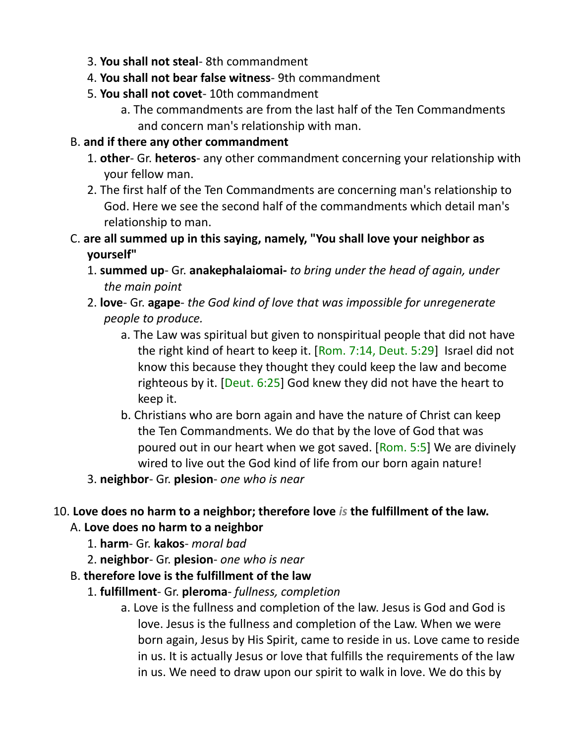- 3. **You shall not steal** 8th commandment
- 4. **You shall not bear false witness** 9th commandment
- 5. **You shall not covet** 10th commandment
	- a. The commandments are from the last half of the Ten Commandments and concern man's relationship with man.

## B. **and if there any other commandment**

- 1. **other** Gr. **heteros** any other commandment concerning your relationship with your fellow man.
- 2. The first half of the Ten Commandments are concerning man's relationship to God. Here we see the second half of the commandments which detail man's relationship to man.
- C. **are all summed up in this saying, namely, "You shall love your neighbor as yourself"**
	- 1. **summed up** Gr. **anakephalaiomai-** *to bring under the head of again, under the main point*
	- 2. **love** Gr. **agape**- *the God kind of love that was impossible for unregenerate people to produce.*
		- a. The Law was spiritual but given to nonspiritual people that did not have the right kind of heart to keep it. [Rom. 7:14, Deut. 5:29] Israel did not know this because they thought they could keep the law and become righteous by it. [Deut. 6:25] God knew they did not have the heart to keep it.
		- b. Christians who are born again and have the nature of Christ can keep the Ten Commandments. We do that by the love of God that was poured out in our heart when we got saved. [Rom. 5:5] We are divinely wired to live out the God kind of life from our born again nature!
	- 3. **neighbor** Gr. **plesion** *one who is near*

# 10. **Love does no harm to a neighbor; therefore love** *is* **the fulfillment of the law.**

# A. **Love does no harm to a neighbor**

- 1. **harm** Gr. **kakos** *moral bad*
- 2. **neighbor** Gr. **plesion** *one who is near*
- B. **therefore love is the fulfillment of the law**
	- 1. **fulfillment** Gr. **pleroma** *fullness, completion*
		- a. Love is the fullness and completion of the law. Jesus is God and God is love. Jesus is the fullness and completion of the Law. When we were born again, Jesus by His Spirit, came to reside in us. Love came to reside in us. It is actually Jesus or love that fulfills the requirements of the law in us. We need to draw upon our spirit to walk in love. We do this by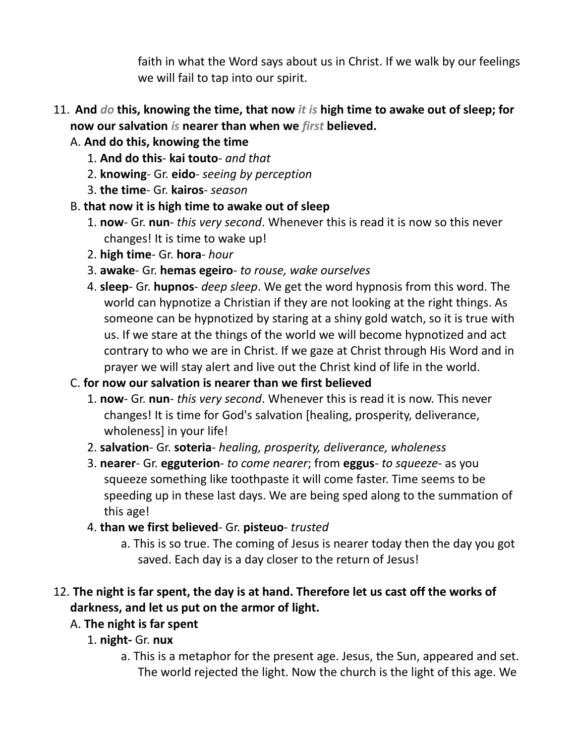faith in what the Word says about us in Christ. If we walk by our feelings we will fail to tap into our spirit.

- 11. **And** *do* **this, knowing the time, that now** *it is* **high time to awake out of sleep; for now our salvation** *is* **nearer than when we** *first* **believed.** 
	- A. **And do this, knowing the time**
		- 1. **And do this kai touto** *and that*
		- 2. **knowing** Gr. **eido**- *seeing by perception*
		- 3. **the time** Gr. **kairos** *season*
	- B. **that now it is high time to awake out of sleep**
		- 1. **now** Gr. **nun**- *this very second*. Whenever this is read it is now so this never changes! It is time to wake up!
		- 2. **high time** Gr. **hora** *hour*
		- 3. **awake** Gr. **hemas egeiro** *to rouse, wake ourselves*
		- 4. **sleep** Gr. **hupnos** *deep sleep*. We get the word hypnosis from this word. The world can hypnotize a Christian if they are not looking at the right things. As someone can be hypnotized by staring at a shiny gold watch, so it is true with us. If we stare at the things of the world we will become hypnotized and act contrary to who we are in Christ. If we gaze at Christ through His Word and in prayer we will stay alert and live out the Christ kind of life in the world.

# C. **for now our salvation is nearer than we first believed**

- 1. **now** Gr. **nun** *this very second*. Whenever this is read it is now. This never changes! It is time for God's salvation [healing, prosperity, deliverance, wholeness] in your life!
- 2. **salvation** Gr. **soteria** *healing, prosperity, deliverance, wholeness*
- 3. **nearer** Gr. **egguterion** *to come nearer*; from **eggus** *to squeeze-* as you squeeze something like toothpaste it will come faster. Time seems to be speeding up in these last days. We are being sped along to the summation of this age!
- 4. **than we first believed** Gr. **pisteuo** *trusted*
	- a. This is so true. The coming of Jesus is nearer today then the day you got saved. Each day is a day closer to the return of Jesus!

# 12. **The night is far spent, the day is at hand. Therefore let us cast off the works of darkness, and let us put on the armor of light.**

# A. **The night is far spent**

- 1. **night-** Gr. **nux**
	- a. This is a metaphor for the present age. Jesus, the Sun, appeared and set. The world rejected the light. Now the church is the light of this age. We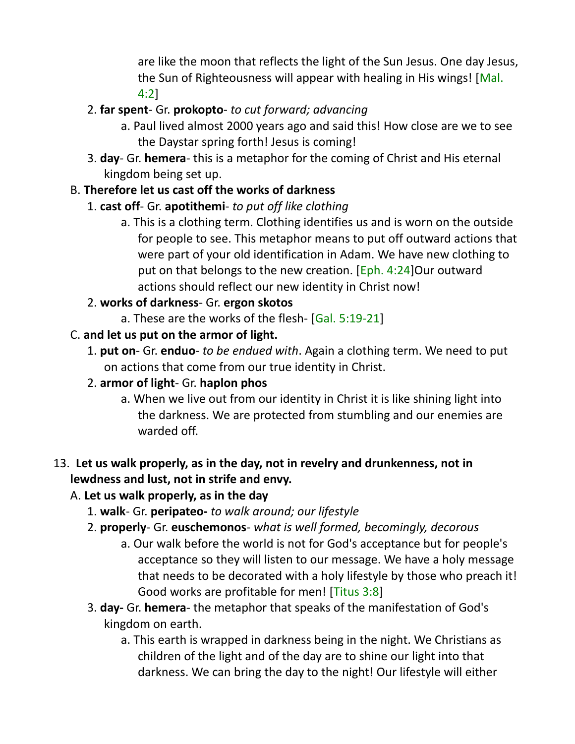are like the moon that reflects the light of the Sun Jesus. One day Jesus, the Sun of Righteousness will appear with healing in His wings! [Mal. 4:2]

- 2. **far spent** Gr. **prokopto** *to cut forward; advancing*
	- a. Paul lived almost 2000 years ago and said this! How close are we to see the Daystar spring forth! Jesus is coming!
- 3. **day** Gr. **hemera** this is a metaphor for the coming of Christ and His eternal kingdom being set up.

# B. **Therefore let us cast off the works of darkness**

# 1. **cast off**- Gr. **apotithemi**- *to put off like clothing*

a. This is a clothing term. Clothing identifies us and is worn on the outside for people to see. This metaphor means to put off outward actions that were part of your old identification in Adam. We have new clothing to put on that belongs to the new creation. [Eph. 4:24]Our outward actions should reflect our new identity in Christ now!

## 2. **works of darkness**- Gr. **ergon skotos**

a. These are the works of the flesh- [Gal. 5:19-21]

# C. **and let us put on the armor of light.**

1. **put on**- Gr. **enduo**- *to be endued with*. Again a clothing term. We need to put on actions that come from our true identity in Christ.

## 2. **armor of light**- Gr. **haplon phos**

a. When we live out from our identity in Christ it is like shining light into the darkness. We are protected from stumbling and our enemies are warded off.

# 13. **Let us walk properly, as in the day, not in revelry and drunkenness, not in lewdness and lust, not in strife and envy.**

# A. **Let us walk properly, as in the day**

- 1. **walk** Gr. **peripateo-** *to walk around; our lifestyle*
- 2. **properly** Gr. **euschemonos** *what is well formed, becomingly, decorous*
	- a. Our walk before the world is not for God's acceptance but for people's acceptance so they will listen to our message. We have a holy message that needs to be decorated with a holy lifestyle by those who preach it! Good works are profitable for men! [Titus 3:8]
- 3. **day-** Gr. **hemera** the metaphor that speaks of the manifestation of God's kingdom on earth.
	- a. This earth is wrapped in darkness being in the night. We Christians as children of the light and of the day are to shine our light into that darkness. We can bring the day to the night! Our lifestyle will either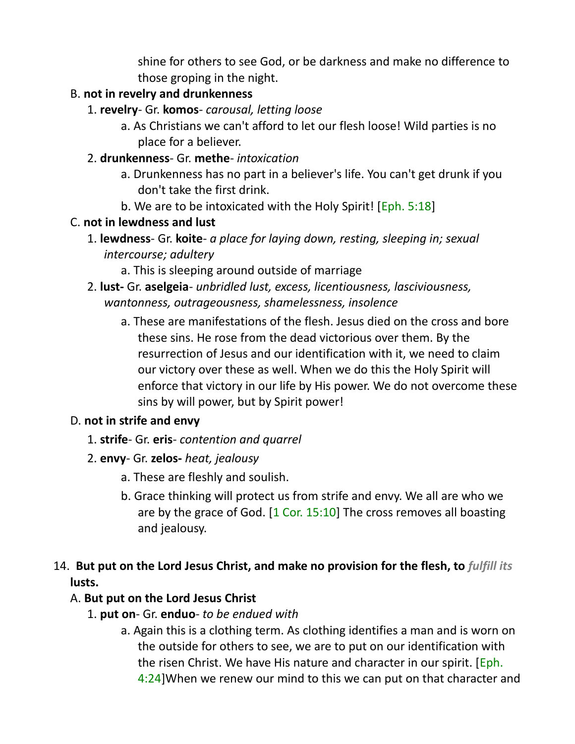shine for others to see God, or be darkness and make no difference to those groping in the night.

## B. **not in revelry and drunkenness**

- 1. **revelry** Gr. **komos** *carousal, letting loose*
	- a. As Christians we can't afford to let our flesh loose! Wild parties is no place for a believer.
- 2. **drunkenness** Gr. **methe** *intoxication*
	- a. Drunkenness has no part in a believer's life. You can't get drunk if you don't take the first drink.
	- b. We are to be intoxicated with the Holy Spirit! [Eph. 5:18]

#### C. **not in lewdness and lust**

- 1. **lewdness** Gr. **koite** *a place for laying down, resting, sleeping in; sexual intercourse; adultery*
	- a. This is sleeping around outside of marriage
- 2. **lust-** Gr. **aselgeia** *unbridled lust, excess, licentiousness, lasciviousness, wantonness, outrageousness, shamelessness, insolence*
	- a. These are manifestations of the flesh. Jesus died on the cross and bore these sins. He rose from the dead victorious over them. By the resurrection of Jesus and our identification with it, we need to claim our victory over these as well. When we do this the Holy Spirit will enforce that victory in our life by His power. We do not overcome these sins by will power, but by Spirit power!

## D. **not in strife and envy**

- 1. **strife** Gr. **eris** *contention and quarrel*
- 2. **envy** Gr. **zelos-** *heat, jealousy*
	- a. These are fleshly and soulish.
	- b. Grace thinking will protect us from strife and envy. We all are who we are by the grace of God.  $[1 \text{ Cor. } 15:10]$  The cross removes all boasting and jealousy.

# 14. **But put on the Lord Jesus Christ, and make no provision for the flesh, to** *fulfill its* **lusts.**

# A. **But put on the Lord Jesus Christ**

- 1. **put on** Gr. **enduo** *to be endued with*
	- a. Again this is a clothing term. As clothing identifies a man and is worn on the outside for others to see, we are to put on our identification with the risen Christ. We have His nature and character in our spirit. [Eph. 4:24]When we renew our mind to this we can put on that character and